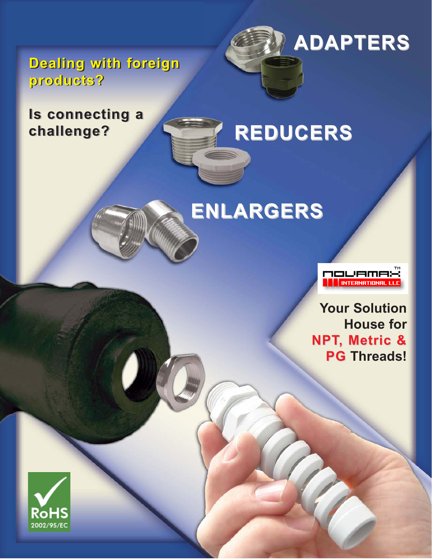**Dealing with foreign Dealing with foreign products? products?**

### **Is connecting a Is connecting a challenge? challenge?**

### **REDUCERS REDUCERS**





**ADAPTERS ADAPTERS**

**Your Solution House for NPT, Metric & , Metric & PG Threads!**

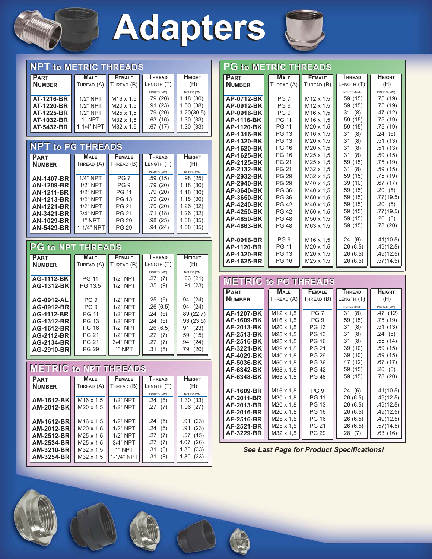

## **Adapters Adapters**



| <b>NPT to METRIC THREADS</b> |                       |                       |               |               |  |
|------------------------------|-----------------------|-----------------------|---------------|---------------|--|
| <b>PART</b>                  | <b>MALE</b>           | <b>FEMALE</b>         | <b>THREAD</b> | <b>HEIGHT</b> |  |
| <b>NUMBER</b>                | THREAD (A) THREAD (B) |                       | LENGTH (T)    | (H)           |  |
|                              |                       |                       | INCHES (MM)   | INCHES (MM)   |  |
| AT-1216-BR                   | $1/2$ " NPT           | M <sub>16</sub> x 1.5 | .79(20)       | 1.18(30)      |  |
| <b>AT-1220-BR</b>            | $1/2$ " NPT           | M20 x 1.5             | .91(23)       | 1.50(38)      |  |
| <b>AT-1225-BR</b>            | 1/2" NPT              | M25 x 1,5             | .79(20)       | 1.20(30.5)    |  |
| AT-1032-BR                   | 1" NPT                | M32 x 1,5             | .63(16)       | 1.30(33)      |  |
| AT-5432-BR                   | 1-1/4" NPT            | M32 x 1.5             | .67(17)       | 1.30(33)      |  |
|                              |                       |                       |               |               |  |

#### **NPT to PG THREADS**

| <b>PART</b>       | MALE        | <b>FEMALE</b>   | <b>THREAD</b> | <b>HEIGHT</b> |
|-------------------|-------------|-----------------|---------------|---------------|
| <b>NUMBER</b>     | THREAD (A)  | THREAD (B)      | LENGTH (T)    | (H)           |
|                   |             |                 | INCHES (MM)   | INCHES (MM)   |
| <b>AN-1407-BR</b> | $1/4$ " NPT | PG <sub>7</sub> | .59(15)       | .98(25)       |
| AN-1209-BR        | $1/2$ " NPT | PG <sub>9</sub> | .79(20)       | 1.18(30)      |
| <b>AN-1211-BR</b> | $1/2$ " NPT | <b>PG 11</b>    | .79(20)       | 1.18(30)      |
| <b>AN-1213-BR</b> | $1/2$ " NPT | <b>PG 13</b>    | .79(20)       | 1.18(30)      |
| <b>AN-1221-BR</b> | $1/2$ " NPT | <b>PG 21</b>    | .79(20)       | 1.26(32)      |
| AN-3421-BR        | 3/4" NPT    | <b>PG 21</b>    | .71(18)       | 1.26(32)      |
| <b>AN-1029-BR</b> | 1" NPT      | <b>PG 29</b>    | .98(25)       | 1.38(35)      |
| AN-5429-BR        | 1-1/4" NPT  | <b>PG 29</b>    | .94(24)       | 1.38(35)      |
|                   |             |                 |               |               |

#### **PG to NPT THREADS**

| <b>PART</b>       | MALE            | <b>FEMALE</b> | <b>THREAD</b> | <b>HEIGHT</b> |
|-------------------|-----------------|---------------|---------------|---------------|
| <b>NUMBER</b>     | THREAD (A)      | THREAD (B)    | LENGTH (T)    | (H)           |
|                   |                 |               | INCHES (MM)   | INCHES (MM)   |
| <b>AG-1112-BK</b> | <b>PG 11</b>    | $1/2$ " NPT   | .27(7)        | .83(21)       |
| AG-1312-BK        | PG 13.5         | $1/2$ " NPT   | .35(9)        | .91(23)       |
|                   |                 |               |               |               |
| AG-0912-AL        | PG <sub>9</sub> | $1/2$ " NPT   | .25(6)        | (24)<br>.94   |
| AG-0912-BR        | PG <sub>9</sub> | $1/2$ " NPT   | .26(6.5)      | .94(24)       |
| <b>AG-1112-BR</b> | <b>PG 11</b>    | $1/2$ " NPT   | .24(6)        | .89(22.7)     |
| AG-1312-BR        | <b>PG 13</b>    | $1/2$ " NPT   | .24(6)        | .93(23.5)     |
| AG-1612-BR        | PG 16           | $1/2$ " NPT   | .26(6.5)      | (23)<br>.91   |
| AG-2112-BR        | <b>PG 21</b>    | $1/2$ " NPT   | .27<br>(7)    | (15)<br>.59   |
| AG-2134-BR        | PG 21           | $3/4"$ NPT    | .27<br>(7)    | (24)<br>.94   |
| AG-2910-BR        | <b>PG 29</b>    | 1" NPT        | (8)<br>.31    | (20)<br>.79   |

#### **METRIC to NPT THREADS**

| <b>PART</b>        | Male                  | <b>FEMALE</b> | <b>THREAD</b> | <b>HEIGHT</b> |
|--------------------|-----------------------|---------------|---------------|---------------|
| <b>NUMBER</b>      | THREAD (A)            | THREAD (B)    | LENGTH (T)    | (H)           |
|                    |                       |               | INCHES (MM)   | INCHES (MM)   |
| AM-1612-BK         | M <sub>16</sub> x 1,5 | 1/2" NPT      | .24<br>(6)    | 1.30(33)      |
| <b>AM-2012-BKI</b> | $M20 \times 1.5$      | $1/2$ " NPT   | .27(7)        | 1.06(27)      |
|                    |                       |               |               |               |
| <b>AM-1612-BRI</b> | M <sub>16</sub> x 1,5 | $1/2$ " NPT   | .24<br>(6)    | (23)<br>.91   |
| <b>AM-2012-BRI</b> | $M20 \times 1.5$      | $1/2$ " NPT   | .24(6)        | .91(23)       |
| <b>AM-2512-BRI</b> | M25 x 1.5             | $1/2$ " NPT   | .27<br>(7)    | .57(15)       |
| <b>AM-2534-BRI</b> | M25 x 1.5             | $3/4"$ NPT    | .27<br>(7)    | 1.07<br>(26)  |
| AM-3210-BRI        | M32 x 1.5             | 1" NPT        | (8)<br>.31    | (33)<br>1.30  |
| <b>AM-3254-BRI</b> | M32 x 1.5             | 1-1/4" NPT    | (8)<br>.31    | 1.30<br>(33)  |

| <b>PG to METRIC THREADS</b> |                 |                       |               |               |  |
|-----------------------------|-----------------|-----------------------|---------------|---------------|--|
| <b>PART</b>                 | <b>MALE</b>     | <b>FEMALE</b>         | <b>THREAD</b> | <b>HEIGHT</b> |  |
| <b>NUMBER</b>               | THEAD(A)        | THREAD (B)            | LENGTH (T)    | (H)           |  |
|                             |                 |                       | INCHES (MM)   | INCHES (MM)   |  |
| AP-0712-BK                  | PG <sub>7</sub> | M12 x 1,5             | .59(15)       | .75(19)       |  |
| AP-0912-BK                  | PG <sub>9</sub> | M <sub>12</sub> x 1.5 | .59(15)       | .75 (19)      |  |
| AP-0916-BK                  | PG <sub>9</sub> | M <sub>16</sub> x 1.5 | .31(8)        | .47(12)       |  |
| <b>AP-1116-BK</b>           | <b>PG 11</b>    | M <sub>16</sub> x 1.5 | .59(15)       | .75(19)       |  |
| AP-1120-BK                  | <b>PG 11</b>    | $M20 \times 1.5$      | .59(15)       | .75(19)       |  |
| AP-1316-BK                  | <b>PG 13</b>    | M <sub>16</sub> x 1.5 | .31<br>(8)    | .24(6)        |  |
| AP-1320-BK                  | <b>PG 13</b>    | $M20 \times 1.5$      | .31(8)        | .51(13)       |  |
| AP-1620-BK                  | <b>PG 16</b>    | M20 x 1.5             | .31(8)        | .51(13)       |  |
| AP-1625-BK                  | <b>PG 16</b>    | M25 x 1.5             | .31(8)        | .59(15)       |  |
| AP-2125-BK                  | <b>PG 21</b>    | M25 x 1.5             | .59(15)       | .75(19)       |  |
| AP-2132-BK                  | <b>PG 21</b>    | M32 x 1.5             | .31(8)        | .59 (15)      |  |
| AP-2932-BK                  | <b>PG 29</b>    | M32 x 1.5             | .59(15)       | .75(19)       |  |
| AP-2940-BK                  | <b>PG 29</b>    | M40 x 1.5             | .39(10)       | .67(17)       |  |
| AP-3640-BK                  | PG 36           | M40 x 1,5             | .59 (15)      | .20(5)        |  |
| AP-3650-BK                  | PG 36           | M50 x 1.5             | .59(15)       | .77(19.5)     |  |
| <b>AP-4240-BK</b>           | <b>PG 42</b>    | M40 x 1,5             | .59(15)       | .20(5)        |  |
| AP-4250-BK                  | <b>PG 42</b>    | M50 x 1.5             | .59(15)       | .77(19.5)     |  |
| AP-4850-BK                  | <b>PG 48</b>    | M50 x 1.5             | .59(15)       | .20(5)        |  |
| AP-4863-BK                  | <b>PG 48</b>    | M63 x 1.5             | .59(15)       | .78(20)       |  |
|                             |                 |                       |               |               |  |
| AP-0916-BR                  | PG <sub>9</sub> | M <sub>16</sub> x 1.5 | .24(6)        | .41(10.5)     |  |
| AP-1120-BR                  | <b>PG 11</b>    | M20 x 1.5             | .26(6.5)      | .49(12.5)     |  |
| AP-1320-BR                  | <b>PG 13</b>    | M20 x 1.5             | .26(6.5)      | .49(12.5)     |  |
| AP-1625-BR                  | <b>PG 16</b>    | M25 x 1,5             | .26(6.5)      | .57(14.5)     |  |

#### **METRIC to PG THREADS**

| <b>PART</b>       | MALE                  | <b>FEMALE</b>   | <b>THREAD</b> | HEIGHT      |
|-------------------|-----------------------|-----------------|---------------|-------------|
| <b>NUMBER</b>     | THREAD (A)            | THREAD (B)      | LENGTH (T)    | (H)         |
|                   |                       |                 | INCHES (MM)   | INCHES (MM) |
| AF-1207-BK        | M <sub>12</sub> x 1.5 | PG <sub>7</sub> | .31(8)        | .47(12)     |
| <b>AF-1609-BK</b> | M <sub>16</sub> x 1.5 | PG <sub>9</sub> | .59(15)       | .75(19)     |
| AF-2013-BK        | M <sub>20</sub> x 1.5 | PG 13           | .31(8)        | .51(13)     |
| AF-2513-BK        | M <sub>25</sub> x 1.5 | PG 13           | .31(8)        | .24(6)      |
| AF-2516-BK        | M <sub>25</sub> x 1.5 | PG 16           | .31(8)        | .55(14)     |
| <b>AF-3221-BK</b> | M32 x 1.5             | PG 21           | .39(10)       | .59(15)     |
| AF-4029-BK        | M40 x 1.5             | <b>PG 29</b>    | .39(10)       | .59(15)     |
| <b>AF-5036-BK</b> | M50 x 1.5             | PG 36           | .47(12)       | .67(17)     |
| AF-6342-BK        | M63 x 1.5             | <b>PG 42</b>    | .59(15)       | .20(5)      |
| AF-6348-BK        | M63 x 1.5             | PG 48           | .59(15)       | .78(20)     |
|                   |                       |                 |               |             |
| AF-1609-BR        | M <sub>16</sub> x 1,5 | PG <sub>9</sub> | .24(6)        | .41(10.5)   |
| AF-2011-BR        | M <sub>20</sub> x 1.5 | PG 11           | .26(6.5)      | .49(12.5)   |
| AF-2013-BR        | M20 x 1.5             | PG 13           | .26(6.5)      | .49(12.5)   |
| AF-2016-BR        | M20 x 1.5             | PG 16           | .26(6.5)      | .49(12.5)   |
| AF-2516-BR        | M <sub>25</sub> x 1.5 | PG 16           | .26(6.5)      | .49(12.5)   |
| AF-2521-BR        | M <sub>25</sub> x 1.5 | PG 21           | .26(6.5)      | .57(14.5)   |
| AF-3229-BR        | M32 x 1.5             | PG 29           | .28(7)        | .63(16)     |

*See Last Page for Product Specifications!*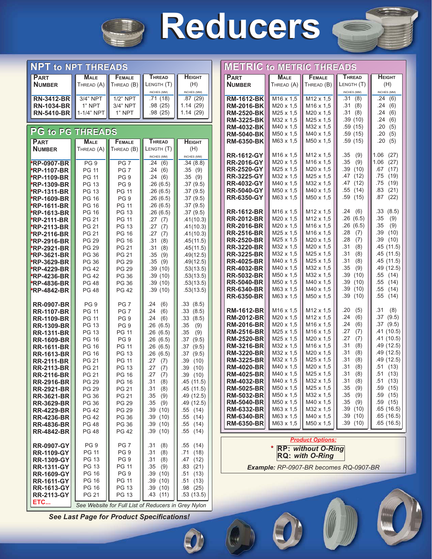

## **Reducers Reducers**



| <b>NPT to NPT THREADS</b>                |                              |                                    |                                                     |                            | ME                     |
|------------------------------------------|------------------------------|------------------------------------|-----------------------------------------------------|----------------------------|------------------------|
| <b>PART</b>                              | <b>MALE</b>                  | <b>FEMALE</b>                      | <b>THREAD</b>                                       | <b>Н</b> ЕІGНТ             | PAF                    |
| <b>NUMBER</b>                            | THREAD (A)                   | THREAD (B)                         | LENGTH (T)                                          | (H)                        | Nur                    |
| <b>RN-3412-BR</b>                        | 3/4" NPT                     | $1/2$ " NPT                        | INCHES (MM)<br>.71(18)                              | INCHES (MM)<br>.87(29)     | RM                     |
| <b>RN-1034-BR</b>                        | 1" NPT                       | 3/4" NPT                           | .98(25)                                             | 1.14(29)                   | <b>RM</b>              |
| <b>RN-5410-BR</b>                        | 1-1/4" NPT                   | 1" NPT                             | .98(25)                                             | 1.14(29)                   | <b>RM</b>              |
|                                          |                              |                                    |                                                     |                            | <b>RM</b>              |
| <b>PG to PG THREADS</b>                  |                              |                                    |                                                     |                            | <b>RM</b><br><b>RM</b> |
| <b>PART</b>                              | <b>MALE</b>                  | FEMALE                             | <b>THREAD</b>                                       | <b>HEIGHT</b>              | <b>RM</b>              |
| <b>NUMBER</b>                            | THREAD (A)                   | THREAD (B)                         | LENGTH (T)                                          | (H)                        |                        |
|                                          |                              |                                    | INCHES (MM)                                         | INCHES (MM)                | RR-                    |
| <b>*RP-0907-BR</b>                       | PG <sub>9</sub>              | PG <sub>7</sub><br>PG <sub>7</sub> | .24<br>(6)<br>.24                                   | .34(8.8)                   | RR.<br>RR.             |
| <b>*RP-1107-BR</b><br><b>*RP-1109-BR</b> | PG 11<br>PG 11               | PG <sub>9</sub>                    | (6)<br>.24<br>(6)                                   | .35(9)<br>.35<br>(9)       | RR.                    |
| <b>*RP-1309-BR</b>                       | PG 13                        | PG <sub>9</sub>                    | .26(6.5)                                            | .37(9.5)                   | RR.                    |
| <b>*RP-1311-BR</b>                       | PG 13                        | <b>PG 11</b>                       | .26(6.5)                                            | .37(9.5)                   | RR.                    |
| <b>*RP-1609-BR</b>                       | <b>PG 16</b>                 | PG <sub>9</sub>                    | .26(6.5)                                            | .37(9.5)                   | RR-                    |
| <b>*RP-1611-BR</b>                       | PG 16                        | <b>PG 11</b>                       | .26(6.5)                                            | .37(9.5)                   |                        |
| <b>*RP-1613-BR</b>                       | PG 16                        | PG 13                              | .26(6.5)                                            | .37(9.5)                   | RR-<br>RR.             |
| <b>*RP-2111-BR</b><br><b>*RP-2113-BR</b> | <b>PG 21</b><br><b>PG 21</b> | <b>PG 11</b><br><b>PG 13</b>       | .27<br>(7)<br>.27<br>(7)                            | .41(10.3)<br>.41(10.3)     | RR.                    |
| <b>*RP-2116-BR</b>                       | <b>PG 21</b>                 | PG 16                              | .27<br>(7)                                          | .41(10.3)                  | RR.                    |
| <b>*RP-2916-BR</b>                       | <b>PG 29</b>                 | <b>PG 16</b>                       | .31<br>(8)                                          | .45(11.5)                  | RR.                    |
| <b>*RP-2921-BR</b>                       | <b>PG 29</b>                 | PG 21                              | .31<br>(8)                                          | .45(11.5)                  | RR.                    |
| <b>*RP-3621-BR</b>                       | PG 36                        | <b>PG 21</b>                       | .35<br>(9)                                          | .49(12.5)                  | RR.                    |
| <b>*RP-3629-BR</b>                       | PG 36                        | <b>PG 29</b>                       | .35<br>(9)                                          | .49(12.5)                  | RR.                    |
| <b>*RP-4229-BR</b>                       | <b>PG 42</b><br><b>PG 42</b> | <b>PG 29</b><br>PG 36              | .39(10)                                             | .53(13.5)                  | RR.<br>RR.             |
| <b>*RP-4236-BR</b><br><b>*RP-4836-BR</b> | <b>PG 48</b>                 | PG 36                              | .39(10)<br>.39(10)                                  | .53(13.5)<br>.53(13.5)     | RR.                    |
| <b>*RP-4842-BR</b>                       | <b>PG 48</b>                 | <b>PG 42</b>                       | .39(10)                                             | .53(13.5)                  | RR.                    |
|                                          |                              |                                    |                                                     |                            | RR-                    |
| <b>RR-0907-BR</b>                        | PG <sub>9</sub>              | PG <sub>7</sub>                    | .24<br>(6)                                          | .33(8.5)                   |                        |
| <b>RR-1107-BR</b>                        | <b>PG 11</b>                 | PG <sub>7</sub>                    | (6)<br>.24                                          | .33<br>(8.5)               | <b>RM</b><br><b>RM</b> |
| <b>RR-1109-BR</b><br><b>RR-1309-BR</b>   | PG 11<br><b>PG 13</b>        | PG <sub>9</sub><br>PG <sub>9</sub> | .24<br>(6)<br>.26(6.5)                              | .33<br>(8.5)<br>.35<br>(9) | <b>RM</b>              |
| <b>RR-1311-BR</b>                        | PG 13                        | <b>PG 11</b>                       | .26(6.5)                                            | .35<br>(9)                 | <b>RM</b>              |
| <b>RR-1609-BR</b>                        | <b>PG 16</b>                 | PG <sub>9</sub>                    | .26(6.5)                                            | .37<br>(9.5)               | <b>RM</b>              |
| <b>RR-1611-BR</b>                        | PG 16                        | <b>PG 11</b>                       | .26(6.5)                                            | .37<br>(9.5)               | <b>RM</b>              |
| <b>RR-1613-BR</b>                        | PG 16                        | <b>PG 13</b>                       | .26(6.5)                                            | .37<br>(9.5)               | <b>RM</b>              |
| <b>RR-2111-BR</b>                        | <b>PG 21</b>                 | <b>PG 11</b>                       | .27<br>(7)                                          | .39<br>(10)                | <b>RM</b><br><b>RM</b> |
| <b>RR-2113-BR</b><br><b>RR-2116-BR</b>   | <b>PG 21</b><br><b>PG 21</b> | <b>PG 13</b><br><b>PG 16</b>       | .27<br>(7)<br>.27<br>(7)                            | .39<br>(10)<br>.39<br>(10) | <b>RM</b>              |
| <b>RR-2916-BR</b>                        | <b>PG 29</b>                 | PG 16                              | .31<br>(8)                                          | .45 (11.5)                 | RM                     |
| <b>RR-2921-BR</b>                        | PG 29                        | PG 21                              | .31<br>(8)                                          | .45 (11.5)                 | <b>RM</b>              |
| <b>RR-3621-BR</b>                        | PG 36                        | PG 21                              | .35<br>(9)                                          | .49(12.5)                  | RM                     |
| <b>RR-3629-BR</b>                        | <b>PG 36</b>                 | <b>PG 29</b>                       | .35<br>(9)                                          | .49 (12.5)                 | <b>RM</b>              |
| <b>RR-4229-BR</b>                        | PG 42                        | PG 29                              | .39<br>(10)                                         | .55 (14)                   | <b>RM</b><br><b>RM</b> |
| <b>RR-4236-BR</b><br><b>RR-4836-BR</b>   | PG 42<br><b>PG 48</b>        | PG 36<br>PG 36                     | .39<br>(10)<br>.39<br>(10)                          | .55(14)<br>.55(14)         | RM                     |
| <b>RR-4842-BR</b>                        | <b>PG 48</b>                 | PG 42                              | .39<br>(10)                                         | .55<br>(14)                |                        |
|                                          |                              |                                    |                                                     |                            |                        |
| <b>RR-0907-GY</b>                        | PG <sub>9</sub>              | PG <sub>7</sub>                    | .31<br>(8)                                          | .55(14)                    |                        |
| <b>RR-1109-GY</b>                        | PG 11<br>PG 13               | PG <sub>9</sub><br>PG <sub>9</sub> | .31<br>(8)<br>.31<br>(8)                            | .71<br>(18)<br>.47         |                        |
| <b>RR-1309-GY</b><br><b>RR-1311-GY</b>   | <b>PG 13</b>                 | PG 11                              | .35<br>(9)                                          | (12)<br>.83<br>(21)        |                        |
| <b>RR-1609-GY</b>                        | PG 16                        | PG <sub>9</sub>                    | .39<br>(10)                                         | .51<br>(13)                |                        |
| <b>RR-1611-GY</b>                        | <b>PG 16</b>                 | PG 11                              | .39<br>(10)                                         | (13)<br>.51                |                        |
| <b>RR-1613-GY</b>                        | PG 16                        | PG 13                              | .39<br>(10)                                         | .98<br>(25)                |                        |
| <b>RR-2113-GY</b>                        | <b>PG 21</b>                 | PG 13                              | .43<br>(11)                                         | .53 (13.5)                 |                        |
| ETC                                      |                              |                                    | See Website for Full List of Reducers in Grey Nylon |                            |                        |

| <b>METRIC to METRIC THREADS</b> |                       |                       |               |               |
|---------------------------------|-----------------------|-----------------------|---------------|---------------|
| <b>PART</b>                     | <b>MALE</b>           | <b>FEMALE</b>         | <b>THREAD</b> | <b>HEIGHT</b> |
| <b>NUMBER</b>                   | THREAD (A)            | THREAD (B)            | LENGTH (T)    | (H)           |
|                                 |                       |                       | INCHES (MM)   | INCHES (MM)   |
| <b>RM-1612-BK</b>               | M16 x 1,5             | M12 x 1,5             | .31<br>(8)    | .24<br>(6)    |
| <b>RM-2016-BK</b>               | M20 x 1,5             | M16 x 1,5             | .31(8)        | .24<br>(6)    |
| <b>RM-2520-BK</b>               | M25 x 1,5             | M20 x 1,5             | .31(8)        | .24<br>(6)    |
| <b>RM-3225-BK</b>               | M32 x 1,5             | $M25 \times 1,5$      | .39(10)       | (6)<br>.24    |
| <b>RM-4032-BK</b>               | M40 x 1,5             | M32 x 1,5             | .59(15)       | .20<br>(5)    |
| <b>RM-5040-BK</b>               | M50 x 1,5             | M40 x 1,5             | .59(15)       | .20<br>(5)    |
| <b>RM-6350-BK</b>               | M63 x 1,5             | M50 x 1,5             | .59(15)       | .20<br>(5)    |
|                                 |                       |                       |               |               |
| <b>RR-1612-GY</b>               | M16 x 1,5             | M12 x 1,5             | .35<br>(9)    | 1.06<br>(27)  |
| <b>RR-2016-GY</b>               | M20 x 1,5             | M <sub>16</sub> x 1,5 | (9)<br>.35    | 1.06<br>(27)  |
| <b>RR-2520-GY</b>               | M25 x 1,5             | M20 x 1,5             | .39(10)       | .67<br>(17)   |
| <b>RR-3225-GY</b>               | M32 x 1,5             | M25 x 1,5             | .47<br>(12)   | .75<br>(19)   |
| <b>RR-4032-GY</b>               | M40 x 1,5             | M32 x 1,5             | .47<br>(12)   | .75<br>(19)   |
| <b>RR-5040-GY</b>               | M50 x 1,5             | M40 x 1,5             | .55<br>(14)   | .83<br>(21)   |
| <b>RR-6350-GY</b>               | M63 x 1,5             | M50 x 1,5             | .59<br>(15)   | (22)<br>.87   |
|                                 |                       |                       |               |               |
| <b>RR-1612-BR</b>               | M16 x 1,5             | M12 x 1,5             | .24<br>(6)    | .33(8.5)      |
| <b>RR-2012-BR</b>               | M20 x 1,5             | M12 x 1,5             | .26<br>(6.5)  | .35<br>(9)    |
| <b>RR-2016-BR</b>               | M20 x 1,5             | M <sub>16</sub> x 1,5 | .26(6.5)      | .35<br>(9)    |
| <b>RR-2516-BR</b>               | M25 x 1,5             | M16 x 1,5             | .28<br>(7)    | .39<br>(10)   |
| <b>RR-2520-BR</b>               | M25 x 1,5             | M20 x 1,5             | .28<br>(7)    | .39<br>(10)   |
| <b>RR-3220-BR</b>               | M32 x 1,5             | M20 x 1,5             | .31<br>(8)    | .45(11.5)     |
| <b>RR-3225-BR</b>               | M32 x 1,5             | M25 x 1,5             | .31<br>(8)    | .45(11.5)     |
| <b>RR-4025-BR</b>               | M40 x 1,5             | M25 x 1,5             | .31<br>(8)    | .45(11.5)     |
| <b>RR-4032-BR</b>               | M40 x 1,5             | M32 x 1,5             | .35<br>(9)    | .49(12.5)     |
| <b>RR-5032-BR</b>               | M50 x 1,5             | M32 x 1,5             | .39<br>(10)   | .55<br>(14)   |
| <b>RR-5040-BR</b>               | M50 x 1,5             | M40 x 1,5             | .39<br>(10)   | .55<br>(14)   |
| <b>RR-6340-BR</b>               | M63 x 1,5             | M40 x 1,5             | .39<br>(10)   | (14)<br>.55   |
| <b>RR-6350-BR</b>               | M63 x 1,5             | M50 x 1,5             | .39<br>(10)   | .55<br>(14)   |
|                                 |                       |                       |               |               |
| <b>RM-1612-BR</b>               | M <sub>16</sub> x 1,5 | $M12 \times 1,5$      | .20<br>(5)    | .31<br>(8)    |
| <b>RM-2012-BR</b>               | M20 x 1,5             | M12 x 1,5             | .24<br>(6)    | .37(9.5)      |
| <b>RM-2016-BR</b>               | M20 x 1,5             | M16 x 1,5             | .24<br>(6)    | .37(9.5)      |
| <b>RM-2516-BR</b>               | $M25 \times 1,5$      | M <sub>16</sub> x 1,5 | .27<br>(7)    | .41(10.5)     |
| <b>RM-2520-BR</b>               | M25 x 1,5             | M20 x 1,5             | .27<br>(7)    | .41(10.5)     |
| <b>RM-3216-BR</b>               | M32 x 1.5             | M16 x 1,5             | .31<br>(8)    | .49(12.5)     |
| <b>RM-3220-BR</b>               | M32 x 1,5             | $M20 \times 1,5$      | .31<br>(8)    | .49(12.5)     |
| <b>RM-3225-BR</b>               | M32 x 1,5             | M25 x 1,5             | .31<br>(8)    | .49(12.5)     |
| <b>RM-4020-BR</b>               | M40 x 1,5             | M20 x 1,5             | .31<br>(8)    | .51 (13)      |
| <b>RM-4025-BR</b>               | M40 x 1,5             | M25 x 1,5             | .31<br>(8)    | .51<br>(13)   |
| <b>RM-4032-BRI</b>              | M40 x 1,5             | M32 x 1,5             | .31<br>(8)    | (13)<br>.51   |
| <b>RM-5025-BR</b>               | M50 x 1,5             | $M25 \times 1,5$      | .35<br>(9)    | .59<br>(15)   |
| <b>RM-5032-BR</b>               | M50 x 1,5             | M32 x 1,5             | .35<br>(9)    | (15)<br>.59   |
| <b>RM-5040-BR</b>               | $M50 \times 1,5$      | $M40 \times 1,5$      | .35<br>(9)    | .59 (15)      |
| <b>RM-6332-BR</b>               | M63 x 1,5             | M32 x 1,5             | .39<br>(10)   | .65(16.5)     |
| <b>RM-6340-BR</b>               | M63 x 1,5             | $M40 \times 1,5$      | .39<br>(10)   | .65(16.5)     |
| <b>RM-6350-BR</b>               | M63 x 1,5             | M50 x 1,5             | .39<br>(10)   | .65(16.5)     |
|                                 |                       |                       |               |               |

#### *Product Options:*

**RP:** *without O-Ring* **RQ:** *with O-Ring*

**\***

*Example: RP-0907-BR becomes RQ-0907-BR*

*See Last Page for Product Specifications!*